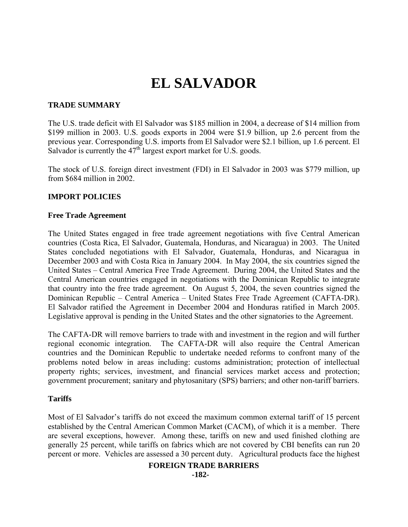# **EL SALVADOR**

# **TRADE SUMMARY**

The U.S. trade deficit with El Salvador was \$185 million in 2004, a decrease of \$14 million from \$199 million in 2003. U.S. goods exports in 2004 were \$1.9 billion, up 2.6 percent from the previous year. Corresponding U.S. imports from El Salvador were \$2.1 billion, up 1.6 percent. El Salvador is currently the  $47<sup>th</sup>$  largest export market for U.S. goods.

The stock of U.S. foreign direct investment (FDI) in El Salvador in 2003 was \$779 million, up from \$684 million in 2002.

## **IMPORT POLICIES**

## **Free Trade Agreement**

The United States engaged in free trade agreement negotiations with five Central American countries (Costa Rica, El Salvador, Guatemala, Honduras, and Nicaragua) in 2003. The United States concluded negotiations with El Salvador, Guatemala, Honduras, and Nicaragua in December 2003 and with Costa Rica in January 2004. In May 2004, the six countries signed the United States – Central America Free Trade Agreement. During 2004, the United States and the Central American countries engaged in negotiations with the Dominican Republic to integrate that country into the free trade agreement. On August 5, 2004, the seven countries signed the Dominican Republic – Central America – United States Free Trade Agreement (CAFTA-DR). El Salvador ratified the Agreement in December 2004 and Honduras ratified in March 2005. Legislative approval is pending in the United States and the other signatories to the Agreement.

The CAFTA-DR will remove barriers to trade with and investment in the region and will further regional economic integration. The CAFTA-DR will also require the Central American countries and the Dominican Republic to undertake needed reforms to confront many of the problems noted below in areas including: customs administration; protection of intellectual property rights; services, investment, and financial services market access and protection; government procurement; sanitary and phytosanitary (SPS) barriers; and other non-tariff barriers.

## **Tariffs**

Most of El Salvador's tariffs do not exceed the maximum common external tariff of 15 percent established by the Central American Common Market (CACM), of which it is a member. There are several exceptions, however. Among these, tariffs on new and used finished clothing are generally 25 percent, while tariffs on fabrics which are not covered by CBI benefits can run 20 percent or more. Vehicles are assessed a 30 percent duty. Agricultural products face the highest

## **FOREIGN TRADE BARRIERS**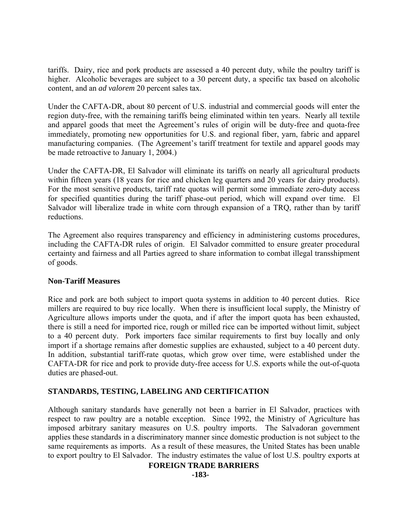tariffs. Dairy, rice and pork products are assessed a 40 percent duty, while the poultry tariff is higher. Alcoholic beverages are subject to a 30 percent duty, a specific tax based on alcoholic content, and an *ad valorem* 20 percent sales tax.

Under the CAFTA-DR, about 80 percent of U.S. industrial and commercial goods will enter the region duty-free, with the remaining tariffs being eliminated within ten years. Nearly all textile and apparel goods that meet the Agreement's rules of origin will be duty-free and quota-free immediately, promoting new opportunities for U.S. and regional fiber, yarn, fabric and apparel manufacturing companies. (The Agreement's tariff treatment for textile and apparel goods may be made retroactive to January 1, 2004.)

Under the CAFTA-DR, El Salvador will eliminate its tariffs on nearly all agricultural products within fifteen years (18 years for rice and chicken leg quarters and 20 years for dairy products). For the most sensitive products, tariff rate quotas will permit some immediate zero-duty access for specified quantities during the tariff phase-out period, which will expand over time. El Salvador will liberalize trade in white corn through expansion of a TRQ, rather than by tariff reductions.

The Agreement also requires transparency and efficiency in administering customs procedures, including the CAFTA-DR rules of origin. El Salvador committed to ensure greater procedural certainty and fairness and all Parties agreed to share information to combat illegal transshipment of goods.

## **Non-Tariff Measures**

Rice and pork are both subject to import quota systems in addition to 40 percent duties. Rice millers are required to buy rice locally. When there is insufficient local supply, the Ministry of Agriculture allows imports under the quota, and if after the import quota has been exhausted, there is still a need for imported rice, rough or milled rice can be imported without limit, subject to a 40 percent duty. Pork importers face similar requirements to first buy locally and only import if a shortage remains after domestic supplies are exhausted, subject to a 40 percent duty. In addition, substantial tariff-rate quotas, which grow over time, were established under the CAFTA-DR for rice and pork to provide duty-free access for U.S. exports while the out-of-quota duties are phased-out.

# **STANDARDS, TESTING, LABELING AND CERTIFICATION**

Although sanitary standards have generally not been a barrier in El Salvador, practices with respect to raw poultry are a notable exception. Since 1992, the Ministry of Agriculture has imposed arbitrary sanitary measures on U.S. poultry imports. The Salvadoran government applies these standards in a discriminatory manner since domestic production is not subject to the same requirements as imports. As a result of these measures, the United States has been unable to export poultry to El Salvador. The industry estimates the value of lost U.S. poultry exports at

## **FOREIGN TRADE BARRIERS**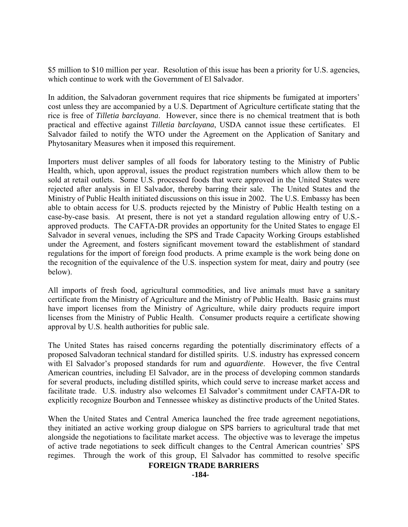\$5 million to \$10 million per year. Resolution of this issue has been a priority for U.S. agencies, which continue to work with the Government of El Salvador.

In addition, the Salvadoran government requires that rice shipments be fumigated at importers' cost unless they are accompanied by a U.S. Department of Agriculture certificate stating that the rice is free of *Tilletia barclayana*. However, since there is no chemical treatment that is both practical and effective against *Tilletia barclayana*, USDA cannot issue these certificates. El Salvador failed to notify the WTO under the Agreement on the Application of Sanitary and Phytosanitary Measures when it imposed this requirement.

Importers must deliver samples of all foods for laboratory testing to the Ministry of Public Health, which, upon approval, issues the product registration numbers which allow them to be sold at retail outlets. Some U.S. processed foods that were approved in the United States were rejected after analysis in El Salvador, thereby barring their sale. The United States and the Ministry of Public Health initiated discussions on this issue in 2002. The U.S. Embassy has been able to obtain access for U.S. products rejected by the Ministry of Public Health testing on a case-by-case basis. At present, there is not yet a standard regulation allowing entry of U.S. approved products. The CAFTA-DR provides an opportunity for the United States to engage El Salvador in several venues, including the SPS and Trade Capacity Working Groups established under the Agreement, and fosters significant movement toward the establishment of standard regulations for the import of foreign food products. A prime example is the work being done on the recognition of the equivalence of the U.S. inspection system for meat, dairy and poutry (see below).

All imports of fresh food, agricultural commodities, and live animals must have a sanitary certificate from the Ministry of Agriculture and the Ministry of Public Health. Basic grains must have import licenses from the Ministry of Agriculture, while dairy products require import licenses from the Ministry of Public Health. Consumer products require a certificate showing approval by U.S. health authorities for public sale.

The United States has raised concerns regarding the potentially discriminatory effects of a proposed Salvadoran technical standard for distilled spirits. U.S. industry has expressed concern with El Salvador's proposed standards for rum and *aguardiente*. However, the five Central American countries, including El Salvador, are in the process of developing common standards for several products, including distilled spirits, which could serve to increase market access and facilitate trade. U.S. industry also welcomes El Salvador's commitment under CAFTA-DR to explicitly recognize Bourbon and Tennessee whiskey as distinctive products of the United States.

When the United States and Central America launched the free trade agreement negotiations, they initiated an active working group dialogue on SPS barriers to agricultural trade that met alongside the negotiations to facilitate market access. The objective was to leverage the impetus of active trade negotiations to seek difficult changes to the Central American countries' SPS regimes. Through the work of this group, El Salvador has committed to resolve specific

## **FOREIGN TRADE BARRIERS**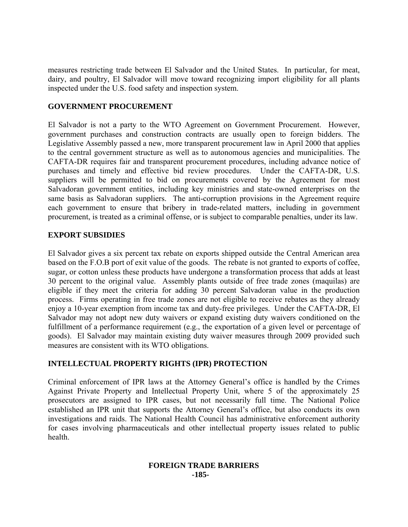measures restricting trade between El Salvador and the United States. In particular, for meat, dairy, and poultry, El Salvador will move toward recognizing import eligibility for all plants inspected under the U.S. food safety and inspection system.

## **GOVERNMENT PROCUREMENT**

El Salvador is not a party to the WTO Agreement on Government Procurement. However, government purchases and construction contracts are usually open to foreign bidders. The Legislative Assembly passed a new, more transparent procurement law in April 2000 that applies to the central government structure as well as to autonomous agencies and municipalities. The CAFTA-DR requires fair and transparent procurement procedures, including advance notice of purchases and timely and effective bid review procedures. Under the CAFTA-DR, U.S. suppliers will be permitted to bid on procurements covered by the Agreement for most Salvadoran government entities, including key ministries and state-owned enterprises on the same basis as Salvadoran suppliers. The anti-corruption provisions in the Agreement require each government to ensure that bribery in trade-related matters, including in government procurement, is treated as a criminal offense, or is subject to comparable penalties, under its law.

## **EXPORT SUBSIDIES**

El Salvador gives a six percent tax rebate on exports shipped outside the Central American area based on the F.O.B port of exit value of the goods. The rebate is not granted to exports of coffee, sugar, or cotton unless these products have undergone a transformation process that adds at least 30 percent to the original value. Assembly plants outside of free trade zones (maquilas) are eligible if they meet the criteria for adding 30 percent Salvadoran value in the production process. Firms operating in free trade zones are not eligible to receive rebates as they already enjoy a 10-year exemption from income tax and duty-free privileges. Under the CAFTA-DR, El Salvador may not adopt new duty waivers or expand existing duty waivers conditioned on the fulfillment of a performance requirement (e.g., the exportation of a given level or percentage of goods). El Salvador may maintain existing duty waiver measures through 2009 provided such measures are consistent with its WTO obligations.

# **INTELLECTUAL PROPERTY RIGHTS (IPR) PROTECTION**

Criminal enforcement of IPR laws at the Attorney General's office is handled by the Crimes Against Private Property and Intellectual Property Unit, where 5 of the approximately 25 prosecutors are assigned to IPR cases, but not necessarily full time. The National Police established an IPR unit that supports the Attorney General's office, but also conducts its own investigations and raids. The National Health Council has administrative enforcement authority for cases involving pharmaceuticals and other intellectual property issues related to public health.

#### **FOREIGN TRADE BARRIERS -185-**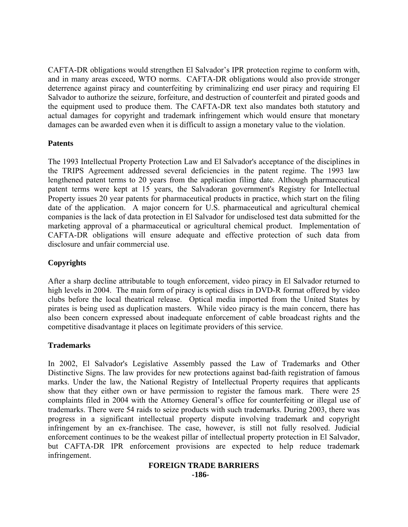CAFTA-DR obligations would strengthen El Salvador's IPR protection regime to conform with, and in many areas exceed, WTO norms. CAFTA-DR obligations would also provide stronger deterrence against piracy and counterfeiting by criminalizing end user piracy and requiring El Salvador to authorize the seizure, forfeiture, and destruction of counterfeit and pirated goods and the equipment used to produce them. The CAFTA-DR text also mandates both statutory and actual damages for copyright and trademark infringement which would ensure that monetary damages can be awarded even when it is difficult to assign a monetary value to the violation.

## **Patents**

The 1993 Intellectual Property Protection Law and El Salvador's acceptance of the disciplines in the TRIPS Agreement addressed several deficiencies in the patent regime. The 1993 law lengthened patent terms to 20 years from the application filing date. Although pharmaceutical patent terms were kept at 15 years, the Salvadoran government's Registry for Intellectual Property issues 20 year patents for pharmaceutical products in practice, which start on the filing date of the application. A major concern for U.S. pharmaceutical and agricultural chemical companies is the lack of data protection in El Salvador for undisclosed test data submitted for the marketing approval of a pharmaceutical or agricultural chemical product. Implementation of CAFTA-DR obligations will ensure adequate and effective protection of such data from disclosure and unfair commercial use.

## **Copyrights**

After a sharp decline attributable to tough enforcement, video piracy in El Salvador returned to high levels in 2004. The main form of piracy is optical discs in DVD-R format offered by video clubs before the local theatrical release. Optical media imported from the United States by pirates is being used as duplication masters. While video piracy is the main concern, there has also been concern expressed about inadequate enforcement of cable broadcast rights and the competitive disadvantage it places on legitimate providers of this service.

## **Trademarks**

In 2002, El Salvador's Legislative Assembly passed the Law of Trademarks and Other Distinctive Signs. The law provides for new protections against bad-faith registration of famous marks. Under the law, the National Registry of Intellectual Property requires that applicants show that they either own or have permission to register the famous mark. There were 25 complaints filed in 2004 with the Attorney General's office for counterfeiting or illegal use of trademarks. There were 54 raids to seize products with such trademarks. During 2003, there was progress in a significant intellectual property dispute involving trademark and copyright infringement by an ex-franchisee. The case, however, is still not fully resolved. Judicial enforcement continues to be the weakest pillar of intellectual property protection in El Salvador, but CAFTA-DR IPR enforcement provisions are expected to help reduce trademark infringement.

#### **FOREIGN TRADE BARRIERS -186-**